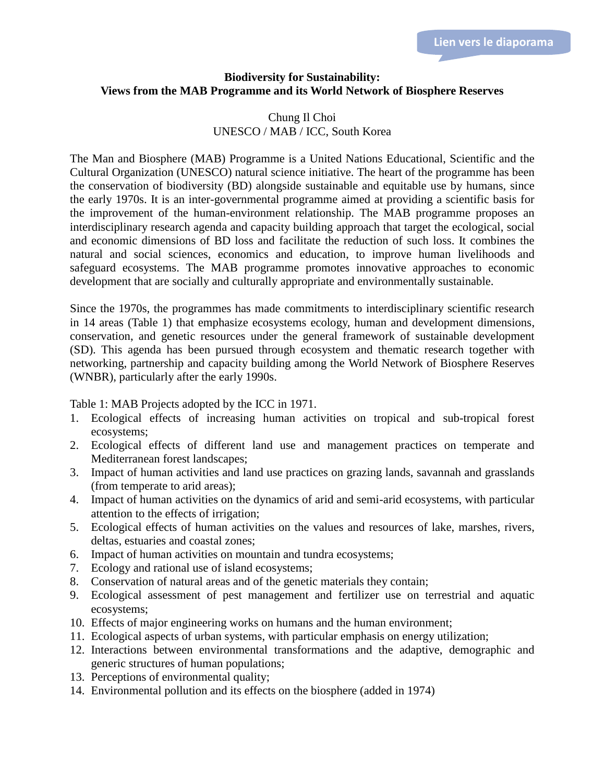## **Biodiversity for Sustainability: Views from the MAB Programme and its World Network of Biosphere Reserves**

## Chung Il Choi UNESCO / MAB / ICC, South Korea

The Man and Biosphere (MAB) Programme is a United Nations Educational, Scientific and the Cultural Organization (UNESCO) natural science initiative. The heart of the programme has been the conservation of biodiversity (BD) alongside sustainable and equitable use by humans, since the early 1970s. It is an inter-governmental programme aimed at providing a scientific basis for the improvement of the human-environment relationship. The MAB programme proposes an interdisciplinary research agenda and capacity building approach that target the ecological, social and economic dimensions of BD loss and facilitate the reduction of such loss. It combines the natural and social sciences, economics and education, to improve human livelihoods and safeguard ecosystems. The MAB programme promotes innovative approaches to economic development that are socially and culturally appropriate and environmentally sustainable.

Since the 1970s, the programmes has made commitments to interdisciplinary scientific research in 14 areas (Table 1) that emphasize ecosystems ecology, human and development dimensions, conservation, and genetic resources under the general framework of sustainable development (SD). This agenda has been pursued through ecosystem and thematic research together with networking, partnership and capacity building among the World Network of Biosphere Reserves (WNBR), particularly after the early 1990s.

Table 1: MAB Projects adopted by the ICC in 1971.

- 1. Ecological effects of increasing human activities on tropical and sub-tropical forest ecosystems;
- 2. Ecological effects of different land use and management practices on temperate and Mediterranean forest landscapes;
- 3. Impact of human activities and land use practices on grazing lands, savannah and grasslands (from temperate to arid areas);
- 4. Impact of human activities on the dynamics of arid and semi-arid ecosystems, with particular attention to the effects of irrigation;
- 5. Ecological effects of human activities on the values and resources of lake, marshes, rivers, deltas, estuaries and coastal zones;
- 6. Impact of human activities on mountain and tundra ecosystems;
- 7. Ecology and rational use of island ecosystems;
- 8. Conservation of natural areas and of the genetic materials they contain;
- 9. Ecological assessment of pest management and fertilizer use on terrestrial and aquatic ecosystems;
- 10. Effects of major engineering works on humans and the human environment;
- 11. Ecological aspects of urban systems, with particular emphasis on energy utilization;
- 12. Interactions between environmental transformations and the adaptive, demographic and generic structures of human populations;
- 13. Perceptions of environmental quality;
- 14. Environmental pollution and its effects on the biosphere (added in 1974)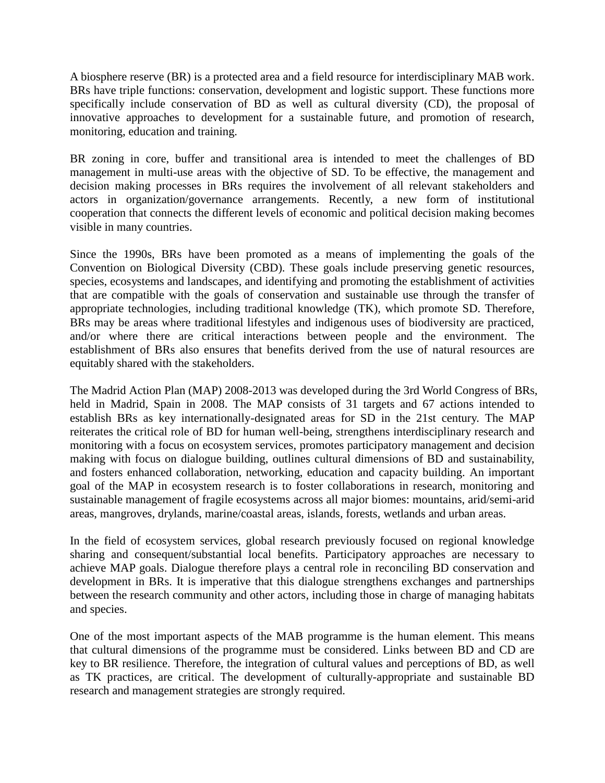A biosphere reserve (BR) is a protected area and a field resource for interdisciplinary MAB work. BRs have triple functions: conservation, development and logistic support. These functions more specifically include conservation of BD as well as cultural diversity (CD), the proposal of innovative approaches to development for a sustainable future, and promotion of research, monitoring, education and training.

BR zoning in core, buffer and transitional area is intended to meet the challenges of BD management in multi-use areas with the objective of SD. To be effective, the management and decision making processes in BRs requires the involvement of all relevant stakeholders and actors in organization/governance arrangements. Recently, a new form of institutional cooperation that connects the different levels of economic and political decision making becomes visible in many countries.

Since the 1990s, BRs have been promoted as a means of implementing the goals of the Convention on Biological Diversity (CBD). These goals include preserving genetic resources, species, ecosystems and landscapes, and identifying and promoting the establishment of activities that are compatible with the goals of conservation and sustainable use through the transfer of appropriate technologies, including traditional knowledge (TK), which promote SD. Therefore, BRs may be areas where traditional lifestyles and indigenous uses of biodiversity are practiced, and/or where there are critical interactions between people and the environment. The establishment of BRs also ensures that benefits derived from the use of natural resources are equitably shared with the stakeholders.

The Madrid Action Plan (MAP) 2008-2013 was developed during the 3rd World Congress of BRs, held in Madrid, Spain in 2008. The MAP consists of 31 targets and 67 actions intended to establish BRs as key internationally-designated areas for SD in the 21st century. The MAP reiterates the critical role of BD for human well-being, strengthens interdisciplinary research and monitoring with a focus on ecosystem services, promotes participatory management and decision making with focus on dialogue building, outlines cultural dimensions of BD and sustainability, and fosters enhanced collaboration, networking, education and capacity building. An important goal of the MAP in ecosystem research is to foster collaborations in research, monitoring and sustainable management of fragile ecosystems across all major biomes: mountains, arid/semi-arid areas, mangroves, drylands, marine/coastal areas, islands, forests, wetlands and urban areas.

In the field of ecosystem services, global research previously focused on regional knowledge sharing and consequent/substantial local benefits. Participatory approaches are necessary to achieve MAP goals. Dialogue therefore plays a central role in reconciling BD conservation and development in BRs. It is imperative that this dialogue strengthens exchanges and partnerships between the research community and other actors, including those in charge of managing habitats and species.

One of the most important aspects of the MAB programme is the human element. This means that cultural dimensions of the programme must be considered. Links between BD and CD are key to BR resilience. Therefore, the integration of cultural values and perceptions of BD, as well as TK practices, are critical. The development of culturally-appropriate and sustainable BD research and management strategies are strongly required.